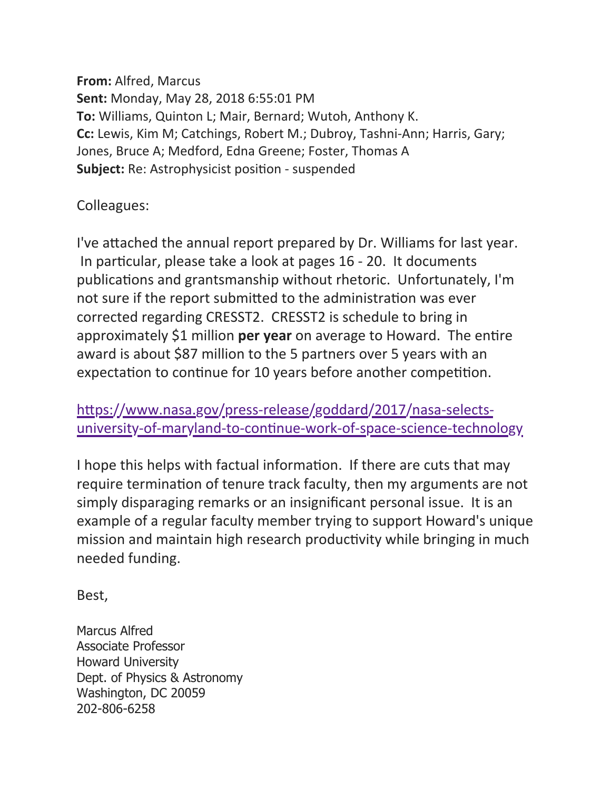**From:** Alfred, Marcus **Sent:** Monday, May 28, 2018 6:55:01 PM **To:** Williams, Quinton L; Mair, Bernard; Wutoh, Anthony K. **Cc:** Lewis, Kim M; Catchings, Robert M.; Dubroy, Tashni-Ann; Harris, Gary; Jones, Bruce A; Medford, Edna Greene; Foster, Thomas A **Subject:** Re: Astrophysicist position - suspended

Colleagues:

I've attached the annual report prepared by Dr. Williams for last year. In particular, please take a look at pages 16 - 20. It documents publications and grantsmanship without rhetoric. Unfortunately, I'm not sure if the report submitted to the administration was ever corrected regarding CRESST2. CRESST2 is schedule to bring in approximately \$1 million per year on average to Howard. The entire award is about \$87 million to the 5 partners over 5 years with an expectation to continue for 10 years before another competition.

https://www.nasa.gov/press-release/goddard/2017/nasa-selectsuniversity-of-maryland-to-continue-work-of-space-science-technology

I hope this helps with factual information. If there are cuts that may require termination of tenure track faculty, then my arguments are not simply disparaging remarks or an insignificant personal issue. It is an example of a regular faculty member trying to support Howard's unique mission and maintain high research productivity while bringing in much needed funding.

Best, 

Marcus Alfred Associate Professor Howard University Dept. of Physics & Astronomy Washington, DC 20059 202-806-6258